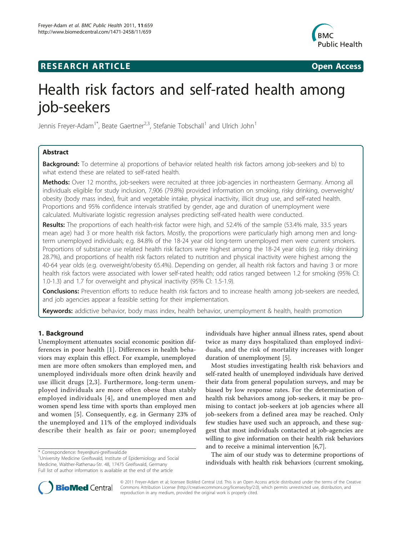# **RESEARCH ARTICLE Example 2014 CONSUMING ACCESS**



# Health risk factors and self-rated health among job-seekers

Jennis Freyer-Adam<sup>1\*</sup>, Beate Gaertner<sup>2,3</sup>, Stefanie Tobschall<sup>1</sup> and Ulrich John<sup>1</sup>

# Abstract

**Background:** To determine a) proportions of behavior related health risk factors among job-seekers and b) to what extend these are related to self-rated health.

Methods: Over 12 months, job-seekers were recruited at three job-agencies in northeastern Germany. Among all individuals eligible for study inclusion, 7,906 (79.8%) provided information on smoking, risky drinking, overweight/ obesity (body mass index), fruit and vegetable intake, physical inactivity, illicit drug use, and self-rated health. Proportions and 95% confidence intervals stratified by gender, age and duration of unemployment were calculated. Multivariate logistic regression analyses predicting self-rated health were conducted.

Results: The proportions of each health-risk factor were high, and 52.4% of the sample (53.4% male, 33.5 years mean age) had 3 or more health risk factors. Mostly, the proportions were particularly high among men and longterm unemployed individuals; e.g. 84.8% of the 18-24 year old long-term unemployed men were current smokers. Proportions of substance use related health risk factors were highest among the 18-24 year olds (e.g. risky drinking 28.7%), and proportions of health risk factors related to nutrition and physical inactivity were highest among the 40-64 year olds (e.g. overweight/obesity 65.4%). Depending on gender, all health risk factors and having 3 or more health risk factors were associated with lower self-rated health; odd ratios ranged between 1.2 for smoking (95% CI: 1.0-1.3) and 1.7 for overweight and physical inactivity (95% CI: 1.5-1.9).

Conclusions: Prevention efforts to reduce health risk factors and to increase health among job-seekers are needed, and job agencies appear a feasible setting for their implementation.

Keywords: addictive behavior, body mass index, health behavior, unemployment & health, health promotion

# 1. Background

Unemployment attenuates social economic position differences in poor health [[1\]](#page-7-0). Differences in health behaviors may explain this effect. For example, unemployed men are more often smokers than employed men, and unemployed individuals more often drink heavily and use illicit drugs [[2](#page-7-0),[3\]](#page-7-0). Furthermore, long-term unemployed individuals are more often obese than stably employed individuals [[4](#page-7-0)], and unemployed men and women spend less time with sports than employed men and women [[5](#page-7-0)]. Consequently, e.g. in Germany 23% of the unemployed and 11% of the employed individuals describe their health as fair or poor; unemployed

individuals have higher annual illness rates, spend about twice as many days hospitalized than employed individuals, and the risk of mortality increases with longer duration of unemployment [[5\]](#page-7-0).

Most studies investigating health risk behaviors and self-rated health of unemployed individuals have derived their data from general population surveys, and may be biased by low response rates. For the determination of health risk behaviors among job-seekers, it may be promising to contact job-seekers at job agencies where all job-seekers from a defined area may be reached. Only few studies have used such an approach, and these suggest that most individuals contacted at job-agencies are willing to give information on their health risk behaviors and to receive a minimal intervention [\[6,7](#page-7-0)].

The aim of our study was to determine proportions of individuals with health risk behaviors (current smoking,



© 2011 Freyer-Adam et al; licensee BioMed Central Ltd. This is an Open Access article distributed under the terms of the Creative Commons Attribution License [\(http://creativecommons.org/licenses/by/2.0](http://creativecommons.org/licenses/by/2.0)), which permits unrestricted use, distribution, and reproduction in any medium, provided the original work is properly cited.

<sup>\*</sup> Correspondence: [freyer@uni-greifswald.de](mailto:freyer@uni-greifswald.de)

<sup>&</sup>lt;sup>1</sup>University Medicine Greifswald, Institute of Epidemiology and Social Medicine, Walther-Rathenau-Str. 48, 17475 Greifswald, Germany Full list of author information is available at the end of the article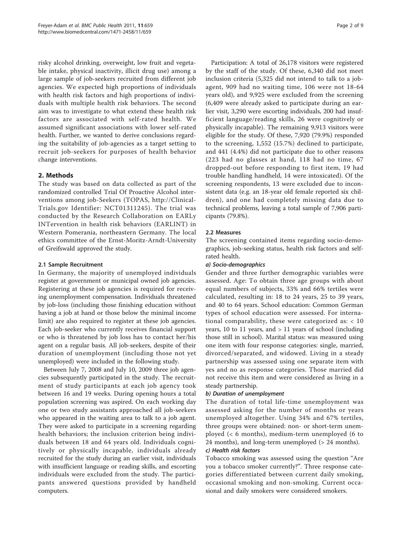risky alcohol drinking, overweight, low fruit and vegetable intake, physical inactivity, illicit drug use) among a large sample of job-seekers recruited from different job agencies. We expected high proportions of individuals with health risk factors and high proportions of individuals with multiple health risk behaviors. The second aim was to investigate to what extend these health risk factors are associated with self-rated health. We assumed significant associations with lower self-rated health. Further, we wanted to derive conclusions regarding the suitability of job-agencies as a target setting to recruit job-seekers for purposes of health behavior change interventions.

# 2. Methods

The study was based on data collected as part of the randomized controlled Trial Of Proactive Alcohol interventions among job-Seekers (TOPAS, [http://Clinical-](http://ClinicalTrials.gov)[Trials.gov](http://ClinicalTrials.gov) Identifier: [NCT01311245](http://www.clinicaltrials.gov/ct2/show/NCT01311245)). The trial was conducted by the Research Collaboration on EARLy INTervention in health risk behaviors (EARLINT) in Western Pomerania, northeastern Germany. The local ethics committee of the Ernst-Moritz-Arndt-University of Greifswald approved the study.

# 2.1 Sample Recruitment

In Germany, the majority of unemployed individuals register at government or municipal owned job agencies. Registering at these job agencies is required for receiving unemployment compensation. Individuals threatened by job-loss (including those finishing education without having a job at hand or those below the minimal income limit) are also required to register at these job agencies. Each job-seeker who currently receives financial support or who is threatened by job loss has to contact her/his agent on a regular basis. All job-seekers, despite of their duration of unemployment (including those not yet unemployed) were included in the following study.

Between July 7, 2008 and July 10, 2009 three job agencies subsequently participated in the study. The recruitment of study participants at each job agency took between 16 and 19 weeks. During opening hours a total population screening was aspired. On each working day one or two study assistants approached all job-seekers who appeared in the waiting area to talk to a job agent. They were asked to participate in a screening regarding health behaviors; the inclusion criterion being individuals between 18 and 64 years old. Individuals cognitively or physically incapable, individuals already recruited for the study during an earlier visit, individuals with insufficient language or reading skills, and escorting individuals were excluded from the study. The participants answered questions provided by handheld computers.

Participation: A total of 26,178 visitors were registered by the staff of the study. Of these, 6,340 did not meet inclusion criteria (5,325 did not intend to talk to a jobagent, 909 had no waiting time, 106 were not 18-64 years old), and 9,925 were excluded from the screening (6,409 were already asked to participate during an earlier visit, 3,290 were escorting individuals, 200 had insufficient language/reading skills, 26 were cognitively or physically incapable). The remaining 9,913 visitors were eligible for the study. Of these, 7,920 (79.9%) responded to the screening, 1,552 (15.7%) declined to participate, and 441 (4.4%) did not participate due to other reasons (223 had no glasses at hand, 118 had no time, 67 dropped-out before responding to first item, 19 had trouble handling handheld, 14 were intoxicated). Of the screening respondents, 13 were excluded due to inconsistent data (e.g. an 18-year old female reported six children), and one had completely missing data due to technical problems, leaving a total sample of 7,906 participants (79.8%).

# 2.2 Measures

The screening contained items regarding socio-demographics, job-seeking status, health risk factors and selfrated health.

### a) Socio-demographics

Gender and three further demographic variables were assessed. Age: To obtain three age groups with about equal numbers of subjects, 33% and 66% tertiles were calculated, resulting in: 18 to 24 years, 25 to 39 years, and 40 to 64 years. School education: Common German types of school education were assessed. For international comparability, these were categorized as: < 10 years, 10 to 11 years, and > 11 years of school (including those still in school). Marital status: was measured using one item with four response categories: single, married, divorced/separated, and widowed. Living in a steady partnership was assessed using one separate item with yes and no as response categories. Those married did not receive this item and were considered as living in a steady partnership.

# b) Duration of unemployment

The duration of total life-time unemployment was assessed asking for the number of months or years unemployed altogether. Using 34% and 67% tertiles, three groups were obtained: non- or short-term unemployed (< 6 months), medium-term unemployed (6 to 24 months), and long-term unemployed (> 24 months).

### c) Health risk factors

Tobacco smoking was assessed using the question "Are you a tobacco smoker currently?". Three response categories differentiated between current daily smoking, occasional smoking and non-smoking. Current occasional and daily smokers were considered smokers.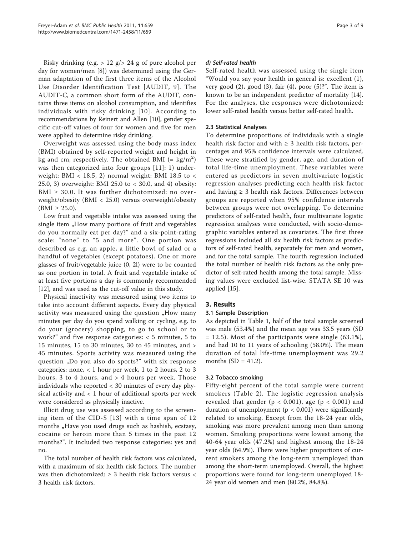Risky drinking (e.g. > 12 g/> 24 g of pure alcohol per day for women/men [\[8](#page-7-0)]) was determined using the German adaptation of the first three items of the Alcohol Use Disorder Identification Test [AUDIT, 9]. The AUDIT-C, a common short form of the AUDIT, contains three items on alcohol consumption, and identifies individuals with risky drinking [[10](#page-7-0)]. According to recommendations by Reinert and Allen [[10](#page-7-0)], gender specific cut-off values of four for women and five for men were applied to determine risky drinking.

Overweight was assessed using the body mass index (BMI) obtained by self-reported weight and height in kg and cm, respectively. The obtained BMI (=  $\text{kg/m}^2)$ was then categorized into four groups [[11](#page-7-0)]: 1) underweight: BMI < 18.5, 2) normal weight: BMI 18.5 to  $\lt$ 25.0, 3) overweight: BMI 25.0 to < 30.0, and 4) obesity: BMI  $\geq$  30.0. It was further dichotomized: no overweight/obesity (BMI < 25.0) versus overweight/obesity  $(BMI \ge 25.0)$ .

Low fruit and vegetable intake was assessed using the single item "How many portions of fruit and vegetables do you normally eat per day?" and a six-point-rating scale: "none" to "5 and more". One portion was described as e.g. an apple, a little bowl of salad or a handful of vegetables (except potatoes). One or more glasses of fruit/vegetable juice (0, 2l) were to be counted as one portion in total. A fruit and vegetable intake of at least five portions a day is commonly recommended [[12\]](#page-7-0), and was used as the cut-off value in this study.

Physical inactivity was measured using two items to take into account different aspects. Every day physical activity was measured using the question "How many minutes per day do you spend walking or cycling, e.g. to do your (grocery) shopping, to go to school or to work?" and five response categories:  $<$  5 minutes, 5 to 15 minutes, 15 to 30 minutes, 30 to 45 minutes, and > 45 minutes. Sports activity was measured using the question "Do you also do sports?" with six response categories: none, < 1 hour per week, 1 to 2 hours, 2 to 3 hours, 3 to 4 hours, and  $>$  4 hours per week. Those individuals who reported < 30 minutes of every day physical activity and < 1 hour of additional sports per week were considered as physically inactive.

Illicit drug use was assessed according to the screening item of the CID-S [[13](#page-7-0)] with a time span of 12 months "Have you used drugs such as hashish, ecstasy, cocaine or heroin more than 5 times in the past 12 months?". It included two response categories: yes and no.

The total number of health risk factors was calculated, with a maximum of six health risk factors. The number was then dichotomized:  $\geq$  3 health risk factors versus < 3 health risk factors.

# d) Self-rated health

Self-rated health was assessed using the single item "Would you say your health in general is: excellent (1), very good  $(2)$ , good  $(3)$ , fair  $(4)$ , poor  $(5)$ ?". The item is known to be an independent predictor of mortality [\[14](#page-7-0)]. For the analyses, the responses were dichotomized: lower self-rated health versus better self-rated health.

# 2.3 Statistical Analyses

To determine proportions of individuals with a single health risk factor and with  $\geq$  3 health risk factors, percentages and 95% confidence intervals were calculated. These were stratified by gender, age, and duration of total life-time unemployment. These variables were entered as predictors in seven multivariate logistic regression analyses predicting each health risk factor and having  $\geq 3$  health risk factors. Differences between groups are reported when 95% confidence intervals between groups were not overlapping. To determine predictors of self-rated health, four multivariate logistic regression analyses were conducted, with socio-demographic variables entered as covariates. The first three regressions included all six health risk factors as predictors of self-rated health, separately for men and women, and for the total sample. The fourth regression included the total number of health risk factors as the only predictor of self-rated health among the total sample. Missing values were excluded list-wise. STATA SE 10 was applied [\[15](#page-7-0)].

# 3. Results

# 3.1 Sample Description

As depicted in Table [1,](#page-3-0) half of the total sample screened was male (53.4%) and the mean age was 33.5 years (SD  $= 12.5$ ). Most of the participants were single (63.1%), and had 10 to 11 years of schooling (58.0%). The mean duration of total life-time unemployment was 29.2 months  $(SD = 41.2)$ .

# 3.2 Tobacco smoking

Fifty-eight percent of the total sample were current smokers (Table [2\)](#page-3-0). The logistic regression analysis revealed that gender ( $p < 0.001$ ), age ( $p < 0.001$ ) and duration of unemployment ( $p < 0.001$ ) were significantly related to smoking. Except from the 18-24 year olds, smoking was more prevalent among men than among women. Smoking proportions were lowest among the 40-64 year olds (47.2%) and highest among the 18-24 year olds (64.9%). There were higher proportions of current smokers among the long-term unemployed than among the short-term unemployed. Overall, the highest proportions were found for long-term unemployed 18- 24 year old women and men (80.2%, 84.8%).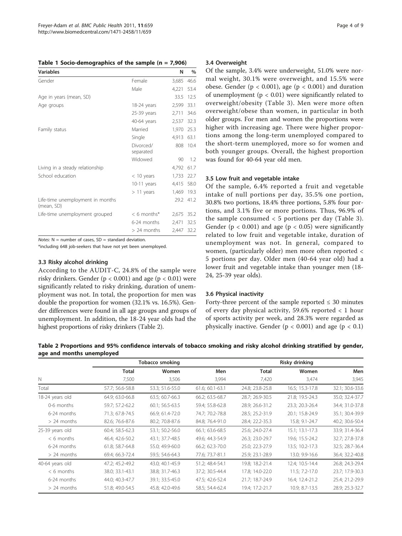<span id="page-3-0"></span>

|  |  |  |  |  | Table 1 Socio-demographics of the sample $(n = 7,906)$ |
|--|--|--|--|--|--------------------------------------------------------|
|--|--|--|--|--|--------------------------------------------------------|

| <b>Variables</b>                               |                        | N     | $\%$ |
|------------------------------------------------|------------------------|-------|------|
| Gender                                         | Female                 | 3,685 | 46.6 |
|                                                | Male                   | 4,221 | 53.4 |
| Age in years (mean, SD)                        |                        | 33.5  | 12.5 |
| Age groups                                     | 18-24 years            | 2,599 | 33.1 |
|                                                | 25-39 years            | 2,711 | 34.6 |
|                                                | 40-64 years            | 2,537 | 32.3 |
| Family status                                  | Married                | 1,970 | 25.3 |
|                                                | Single                 | 4,913 | 63.1 |
|                                                | Divorced/<br>separated | 808   | 10.4 |
|                                                | Widowed                | 90    | 1.2  |
| Living in a steady relationship                |                        | 4,792 | 61.7 |
| School education                               | $<$ 10 years           | 1.733 | 22.7 |
|                                                | 10-11 years            | 4,415 | 58.0 |
|                                                | $>11$ years            | 1,469 | 19.3 |
| Life-time unemployment in months<br>(mean, SD) |                        | 29.2  | 41.2 |
| Life-time unemployment grouped                 | $< 6$ months*          | 2,675 | 35.2 |
|                                                | 6-24 months            | 2,471 | 32.5 |
|                                                | $> 24$ months          | 2,447 | 32.2 |

Notes:  $N =$  number of cases,  $SD =$  standard deviation.

\*including 648 job-seekers that have not yet been unemployed.

### 3.3 Risky alcohol drinking

According to the AUDIT-C, 24.8% of the sample were risky drinkers. Gender ( $p < 0.001$ ) and age ( $p < 0.01$ ) were significantly related to risky drinking, duration of unemployment was not. In total, the proportion for men was double the proportion for women (32.1% vs. 16.5%). Gender differences were found in all age groups and groups of unemployment. In addition, the 18-24 year olds had the highest proportions of risky drinkers (Table 2).

### 3.4 Overweight

Of the sample, 3.4% were underweight, 51.0% were normal weight, 30.1% were overweight, and 15.5% were obese. Gender ( $p < 0.001$ ), age ( $p < 0.001$ ) and duration of unemployment ( $p < 0.01$ ) were significantly related to overweight/obesity (Table [3\)](#page-4-0). Men were more often overweight/obese than women, in particular in both older groups. For men and women the proportions were higher with increasing age. There were higher proportions among the long-term unemployed compared to the short-term unemployed, more so for women and both younger groups. Overall, the highest proportion was found for 40-64 year old men.

### 3.5 Low fruit and vegetable intake

Of the sample, 6.4% reported a fruit and vegetable intake of null portions per day, 35.5% one portion, 30.8% two portions, 18.4% three portions, 5.8% four portions, and 3.1% five or more portions. Thus, 96.9% of the sample consumed  $<$  5 portions per day (Table [3\)](#page-4-0). Gender ( $p < 0.001$ ) and age ( $p < 0.05$ ) were significantly related to low fruit and vegetable intake, duration of unemployment was not. In general, compared to women, (particularly older) men more often reported < 5 portions per day. Older men (40-64 year old) had a lower fruit and vegetable intake than younger men (18- 24, 25-39 year olds).

### 3.6 Physical inactivity

Forty-three percent of the sample reported  $\leq$  30 minutes of every day physical activity, 59.6% reported < 1 hour of sports activity per week, and 28.3% were regarded as physically inactive. Gender ( $p < 0.001$ ) and age ( $p < 0.1$ )

Table 2 Proportions and 95% confidence intervals of tobacco smoking and risky alcohol drinking stratified by gender, age and months unemployed

|                 | Tobacco smoking |                 |                 | Risky drinking  |                     |                 |  |  |
|-----------------|-----------------|-----------------|-----------------|-----------------|---------------------|-----------------|--|--|
|                 | <b>Total</b>    | Women           | Men             | <b>Total</b>    | Women               | Men             |  |  |
| $\mathbb N$     | 7,500           | 3,506           | 3,994           | 7,420           | 3,474               | 3,945           |  |  |
| Total           | 57.7; 56.6-58.8 | 53.3; 51.6-55.0 | 61.6; 60.1-63.1 | 24.8; 23.8-25.8 | 16.5; 15.3-17.8     | 32.1; 30.6-33.6 |  |  |
| 18-24 years old | 64.9; 63.0-66.8 | 63.5; 60.7-66.3 | 66.2; 63.5-68.7 | 28.7; 26.9-30.5 | 21.8; 19.5-24.3     | 35.0; 32.4-37.7 |  |  |
| 0-6 months      | 59.7; 57.2-62.2 | 60.1; 56.5-63.5 | 59.4; 55.8-62.8 | 28.9; 26.6-31.2 | 23.3; 20.3-26.4     | 34.4; 31.0-37.8 |  |  |
| 6-24 months     | 71.3; 67.8-74.5 | 66.9; 61.4-72.0 | 74.7; 70.2-78.8 | 28.5; 25.2-31.9 | 20.1; 15.8-24.9     | 35.1; 30.4-39.9 |  |  |
| $> 24$ months   | 82.6; 76.6-87.6 | 80.2; 70.8-87.6 | 84.8; 76.4-91.0 | 28.4; 22.2-35.3 | 15.8; 9.1-24.7      | 40.2; 30.6-50.4 |  |  |
| 25-39 years old | 60.4; 58.5-62.3 | 53.1; 50.2-56.0 | 66.1; 63.6-68.5 | 25.6; 24.0-27.4 | $15.1; 13.1 - 17.3$ | 33.9; 31.4-36.4 |  |  |
| $< 6$ months    | 46.4; 42.6-50.2 | 43.1; 37.7-48.5 | 49.6; 44.3-54.9 | 26.3; 23.0-29.7 | 19.6; 15.5-24.2     | 32.7; 27.8-37.8 |  |  |
| 6-24 months     | 61.8; 58.7-64.8 | 55.0; 49.9-60.0 | 66.2; 62.3-70.0 | 25.0; 22.3-27.9 | 13.5; 10.2-17.3     | 32.5; 28.7-36.4 |  |  |
| $> 24$ months   | 69.4; 66.3-72.4 | 59.5; 54.6-64.3 | 77.6; 73.7-81.1 | 25.9; 23.1-28.9 | 13.0; 9.9-16.6      | 36.4; 32.2-40.8 |  |  |
| 40-64 years old | 47.2; 45.2-49.2 | 43.0; 40.1-45.9 | 51.2; 48.4-54.1 | 19.8; 18.2-21.4 | 12.4; 10.5-14.4     | 26.8; 24.3-29.4 |  |  |
| $< 6$ months    | 38.0; 33.1-43.1 | 38.8; 31.7-46.3 | 37.2; 30.5-44.4 | 17.8; 14.0-22.0 | 11.5; 7.2-17.0      | 23.7; 17.9-30.3 |  |  |
| 6-24 months     | 44.0; 40.3-47.7 | 39.1; 33.5-45.0 | 47.5; 42.6-52.4 | 21.7; 18.7-24.9 | 16.4; 12.4-21.2     | 25.4; 21.2-29.9 |  |  |
| $> 24$ months   | 51.8; 49.0-54.5 | 45.8; 42.0-49.6 | 58.5; 54.4-62.4 | 19.4; 17.2-21.7 | 10.9; 8.7-13.5      | 28.9; 25.3-32.7 |  |  |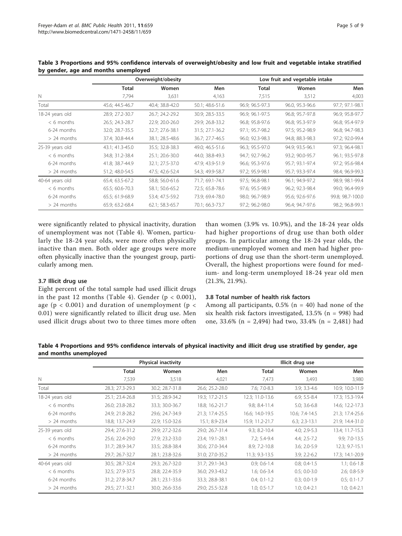|                 |                 | Overweight/obesity |                 | Low fruit and vegetable intake |                 |                  |  |
|-----------------|-----------------|--------------------|-----------------|--------------------------------|-----------------|------------------|--|
|                 | <b>Total</b>    | Women              | Men             | <b>Total</b>                   | Women           | Men              |  |
| N               | 7,794           | 3,631              | 4,163           | 7,515                          | 3,512           | 4,003            |  |
| Total           | 45.6; 44.5-46.7 | 40.4; 38.8-42.0    | 50.1; 48.6-51.6 | 96.9; 96.5-97.3                | 96.0, 95.3-96.6 | 97.7; 97.1-98.1  |  |
| 18-24 years old | 28.9; 27.2-30.7 | 26.7; 24.2-29.2    | 30.9; 28.5-33.5 | 96.9; 96.1-97.5                | 96.8; 95.7-97.8 | 96.9; 95.8-97.7  |  |
| $< 6$ months    | 26.5; 24.3-28.7 | 22.9; 20.0-26.0    | 29.9; 26.8-33.2 | 96.8; 95.8-97.6                | 96.8; 95.3-97.9 | 96.8; 95.4-97.9  |  |
| 6-24 months     | 32.0; 28.7-35.5 | 32.7; 27.6-38.1    | 31.5; 27.1-36.2 | 97.1; 95.7-98.2                | 97.5; 95.2-98.9 | 96.8; 94.7-98.3  |  |
| $> 24$ months   | 37.4; 30.8-44.4 | 38.1; 28.5-48.6    | 36.7; 27.7-46.5 | 96.0; 92.3-98.3                | 94.8; 88.3-98.3 | 97.2; 92.0-99.4  |  |
| 25-39 years old | 43.1; 41.3-45.0 | 35.5; 32.8-38.3    | 49.0; 46.5-51.6 | 96.3; 95.5-97.0                | 94.9; 93.5-96.1 | 97.3; 96.4-98.1  |  |
| $< 6$ months    | 34.8; 31.2-38.4 | 25.1; 20.6-30.0    | 44.0; 38.8-49.3 | 94.7; 92.7-96.2                | 93.2; 90.0-95.7 | 96.1; 93.5-97.8  |  |
| 6-24 months     | 41.8; 38.7-44.9 | 32.1; 27.5-37.0    | 47.9; 43.9-51.9 | 96.6; 95.3-97.6                | 95.7; 93.1-97.4 | 97.2; 95.6-98.4  |  |
| $> 24$ months   | 51.2; 48.0-54.5 | 47.5; 42.6-52.4    | 54.3; 49.9-58.7 | 97.2; 95.9-98.1                | 95.7; 93.3-97.4 | 98.4; 96.9-99.3  |  |
| 40-64 years old | 65.4; 63.5-67.2 | 58.8; 56.0-61.6    | 71.7; 69.1-74.1 | 97.5; 96.8-98.1                | 96.1; 94.9-97.2 | 98.9; 98.1-99.4  |  |
| $< 6$ months    | 65.5; 60.6-70.3 | 58.1; 50.6-65.2    | 72.5; 65.8-78.6 | 97.6; 95.5-98.9                | 96.2; 92.3-98.4 | 99.0; 96.4-99.9  |  |
| 6-24 months     | 65.5; 61.9-68.9 | 53.4; 47.5-59.2    | 73.9; 69.4-78.0 | 98.0; 96.7-98.9                | 95.6; 92.6-97.6 | 99.8; 98.7-100.0 |  |
| $> 24$ months   | 65.9; 63.2-68.4 | 62.1; 58.3-65.7    | 70.1; 66.3-73.7 | 97.2; 96.2-98.0                | 96.4; 94.7-97.6 | 98.2; 96.8-99.1  |  |

<span id="page-4-0"></span>Table 3 Proportions and 95% confidence intervals of overweight/obesity and low fruit and vegetable intake stratified by gender, age and months unemployed

were significantly related to physical inactivity, duration of unemployment was not (Table 4). Women, particularly the 18-24 year olds, were more often physically inactive than men. Both older age groups were more often physically inactive than the youngest group, particularly among men.

# than women (3.9% vs. 10.9%), and the 18-24 year olds had higher proportions of drug use than both older groups. In particular among the 18-24 year olds, the medium-unemployed women and men had higher proportions of drug use than the short-term unemployed. Overall, the highest proportions were found for medium- and long-term unemployed 18-24 year old men (21.3%, 21.9%).

# 3.7 Illicit drug use

Eight percent of the total sample had used illicit drugs in the past 12 months (Table 4). Gender  $(p < 0.001)$ , age ( $p < 0.001$ ) and duration of unemployment ( $p <$ 0.01) were significantly related to illicit drug use. Men used illicit drugs about two to three times more often

# 3.8 Total number of health risk factors

Among all participants,  $0.5\%$  (n = 40) had none of the six health risk factors investigated,  $13.5\%$  (n = 998) had one, 33.6% (n = 2,494) had two, 33.4% (n = 2,481) had

Table 4 Proportions and 95% confidence intervals of physical inactivity and illicit drug use stratified by gender, age and months unemployed

|                 | <b>Physical inactivity</b> |                 |                 | Illicit drug use  |                  |                  |  |  |
|-----------------|----------------------------|-----------------|-----------------|-------------------|------------------|------------------|--|--|
|                 | <b>Total</b>               | Women           | Men             | <b>Total</b>      | Women            | Men              |  |  |
| $\mathbb N$     | 7,539                      | 3,518           | 4,021           | 7,473             | 3,493            | 3,980            |  |  |
| Total           | 28.3; 27.3-29.3            | 30.2; 28.7-31.8 | 26.6; 25.2-28.0 | 7.6; 7.0-8.3      | 3.9; 3.3-4.6     | 10.9; 10.0-11.9  |  |  |
| 18-24 years old | 25.1; 23.4-26.8            | 31.5; 28.9-34.2 | 19.3; 17.2-21.5 | 12.3; 11.0-13.6   | $6.9; 5.5 - 8.4$ | 17.3; 15.3-19.4  |  |  |
| $< 6$ months    | 26.0; 23.8-28.2            | 33.3; 30.0-36.7 | 18.8; 16.2-21.7 | 9.8; 8.4-11.4     | $5.0; 3.6-6.8$   | 14.6; 12.2-17.3  |  |  |
| 6-24 months     | 24.9; 21.8-28.2            | 29.6; 24.7-34.9 | 21.3; 17.4-25.5 | 16.6; 14.0-19.5   | 10.6; 7.4-14.5   | 21.3; 17.4-25.6  |  |  |
| $> 24$ months   | 18.8; 13.7-24.9            | 22.9; 15.0-32.6 | 15.1; 8.9-23.4  | 15.9; 11.2-21.7   | $6.3; 2.3-13.1$  | 21.9; 14.4-31.0  |  |  |
| 25-39 years old | 29.4; 27.6-31.2            | 29.9; 27.2-32.6 | 29.0; 26.7-31.4 | $9.3; 8.2 - 10.4$ | $4.0; 2.9 - 5.3$ | 13.4; 11.7-15.3  |  |  |
| $< 6$ months    | 25.6; 22.4-29.0            | 27.9; 23.2-33.0 | 23.4; 19.1-28.1 | $7.2; 5.4 - 9.4$  | $4.4; 2.5 - 7.2$ | 9.9; 7.0-13.5    |  |  |
| 6-24 months     | 31.7; 28.9-34.7            | 33.5; 28.8-38.4 | 30.6; 27.0-34.4 | 8.9; 7.2-10.8     | $3.6; 2.0 - 5.9$ | 12.3; 9.7-15.1   |  |  |
| $> 24$ months   | 29.7; 26.7-32.7            | 28.1; 23.8-32.6 | 31.0; 27.0-35.2 | 11.3; 9.3-13.5    | $3.9; 2.2 - 6.2$ | 17.3; 14.1-20.9  |  |  |
| 40-64 years old | 30.5; 28.7-32.4            | 29.3; 26.7-32.0 | 31.7; 29.1-34.3 | $0.9; 0.6-1.4$    | $0.8; 0.4-1.5$   | $1.1; 0.6-1.8$   |  |  |
| $< 6$ months    | 32.5; 27.9-37.5            | 28.8; 22.4-35.9 | 36.0; 29.3-43.2 | $1.6; 0.6 - 3.4$  | $0.5; 0.0 - 3.0$ | 2.6; 0.8-5.9     |  |  |
| 6-24 months     | 31.2; 27.8-34.7            | 28.1; 23.1-33.6 | 33.3; 28.8-38.1 | $0.4; 0.1-1.2$    | $0.3; 0.0-1.9$   | $0.5; 0.1 - 1.7$ |  |  |
| $> 24$ months   | 29.5; 27.1-32.1            | 30.0; 26.6-33.6 | 29.0; 25.5-32.8 | $1.0; 0.5-1.7$    | $1.0; 0.4 - 2.1$ | $1.0; 0.4 - 2.1$ |  |  |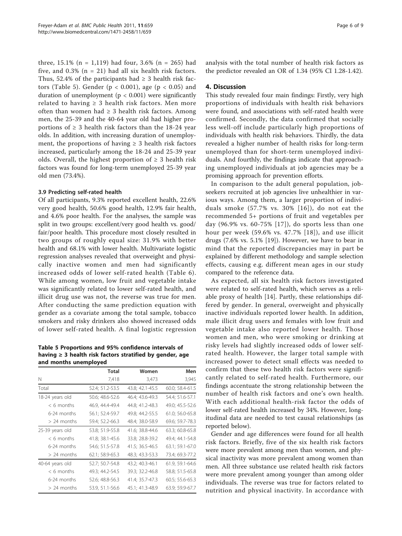three,  $15.1\%$  (n = 1,119) had four, 3.6% (n = 265) had five, and  $0.3\%$  (n = 21) had all six health risk factors. Thus, 52.4% of the participants had  $\geq$  3 health risk factors (Table 5). Gender ( $p < 0.001$ ), age ( $p < 0.05$ ) and duration of unemployment ( $p < 0.001$ ) were significantly related to having  $\geq 3$  health risk factors. Men more often than women had  $\geq$  3 health risk factors. Among men, the 25-39 and the 40-64 year old had higher proportions of  $\geq 3$  health risk factors than the 18-24 year olds. In addition, with increasing duration of unemployment, the proportions of having  $\geq$  3 health risk factors increased, particularly among the 18-24 and 25-39 year olds. Overall, the highest proportion of  $\geq 3$  health risk factors was found for long-term unemployed 25-39 year old men (73.4%).

# 3.9 Predicting self-rated health

Of all participants, 9.3% reported excellent health, 22.6% very good health, 50.6% good health, 12.9% fair health, and 4.6% poor health. For the analyses, the sample was split in two groups: excellent/very good health vs. good/ fair/poor health. This procedure most closely resulted in two groups of roughly equal size: 31.9% with better health and 68.1% with lower health. Multivariate logistic regression analyses revealed that overweight and physically inactive women and men had significantly increased odds of lower self-rated health (Table [6\)](#page-6-0). While among women, low fruit and vegetable intake was significantly related to lower self-rated health, and illicit drug use was not, the reverse was true for men. After conducting the same prediction equation with gender as a covariate among the total sample, tobacco smokers and risky drinkers also showed increased odds of lower self-rated health. A final logistic regression

### Table 5 Proportions and 95% confidence intervals of having  $\geq 3$  health risk factors stratified by gender, age and months unemployed

|                 | Total           | Women           | Men             |
|-----------------|-----------------|-----------------|-----------------|
| N               | 7,418           | 3,473           | 3,945           |
| Total           | 52.4; 51.2-53.5 | 43.8; 42.1-45.5 | 60.0; 58.4-61.5 |
| 18-24 years old | 50.6; 48.6-52.6 | 46.4: 43.6-49.3 | 54.4; 51.6-57.1 |
| $< 6$ months    | 46.9, 44.4-49.4 | 44.8; 41.2-48.3 | 49.0; 45.5-52.6 |
| 6-24 months     | 56.1; 52.4-59.7 | 49.8; 44.2-55.5 | 61.0; 56.0-65.8 |
| $> 24$ months   | 59.4; 52.2-66.3 | 48.4; 38.0-58.9 | 69.6; 59.7-78.3 |
| 25-39 years old | 53.8; 51.9-55.8 | 41.6: 38.8-44.6 | 63.3: 60.8-65.8 |
| $< 6$ months    | 41.8; 38.1-45.6 | 33.8; 28.8-39.2 | 49.4; 44.1-54.8 |
| 6-24 months     | 54.6; 51.5-57.8 | 41.5; 36.5-46.5 | 63.1; 59.1-67.0 |
| $> 24$ months   | 62.1; 58.9-65.3 | 48.3; 43.3-53.3 | 73.4; 69.3-77.2 |
| 40-64 years old | 52.7; 50.7-54.8 | 43.2; 40.3-46.1 | 61.9, 59.1-64.6 |
| $< 6$ months    | 49.3; 44.2-54.5 | 39.3; 32.2-46.8 | 58.8; 51.5-65.8 |
| 6-24 months     | 52.6; 48.8-56.3 | 41.4; 35.7-47.3 | 60.5; 55.6-65.3 |
| $> 24$ months   | 53.9, 51.1-56.6 | 45.1; 41.3-48.9 | 63.9; 59.9-67.7 |

analysis with the total number of health risk factors as the predictor revealed an OR of 1.34 (95% CI 1.28-1.42).

### 4. Discussion

This study revealed four main findings: Firstly, very high proportions of individuals with health risk behaviors were found, and associations with self-rated health were confirmed. Secondly, the data confirmed that socially less well-off include particularly high proportions of individuals with health risk behaviors. Thirdly, the data revealed a higher number of health risks for long-term unemployed than for short-term unemployed individuals. And fourthly, the findings indicate that approaching unemployed individuals at job agencies may be a promising approach for prevention efforts.

In comparison to the adult general population, jobseekers recruited at job agencies live unhealthier in various ways. Among them, a larger proportion of individuals smoke (57.7% vs. 30% [[16\]](#page-7-0)), do not eat the recommended 5+ portions of fruit and vegetables per day (96.9% vs. 60-75% [[17](#page-7-0)]), do sports less than one hour per week (59.6% vs. 47.7% [[18\]](#page-8-0)), and use illicit drugs (7.6% vs. 5.1% [\[19](#page-8-0)]). However, we have to bear in mind that the reported discrepancies may in part be explained by different methodology and sample selection effects, causing e.g. different mean ages in our study compared to the reference data.

As expected, all six health risk factors investigated were related to self-rated health, which serves as a reliable proxy of health [\[14\]](#page-7-0). Partly, these relationships differed by gender. In general, overweight and physically inactive individuals reported lower health. In addition, male illicit drug users and females with low fruit and vegetable intake also reported lower health. Those women and men, who were smoking or drinking at risky levels had slightly increased odds of lower selfrated health. However, the larger total sample with increased power to detect small effects was needed to confirm that these two health risk factors were significantly related to self-rated health. Furthermore, our findings accentuate the strong relationship between the number of health risk factors and one's own health. With each additional health-risk factor the odds of lower self-rated health increased by 34%. However, longitudinal data are needed to test causal relationships (as reported below).

Gender and age differences were found for all health risk factors. Briefly, five of the six health risk factors were more prevalent among men than women, and physical inactivity was more prevalent among women than men. All three substance use related health risk factors were more prevalent among younger than among older individuals. The reverse was true for factors related to nutrition and physical inactivity. In accordance with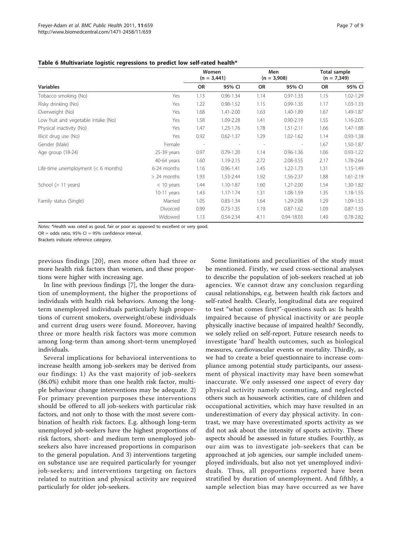|                                       |               | Women<br>$(n = 3,441)$ |               | Men<br>$(n = 3,908)$ |                              | Total sample<br>$(n = 7,349)$ |               |
|---------------------------------------|---------------|------------------------|---------------|----------------------|------------------------------|-------------------------------|---------------|
| <b>Variables</b>                      |               | OR                     | 95% CI        | OR                   | 95% CI                       | OR                            | 95% CI        |
| Tobacco smoking (No)                  | Yes           | 1.13                   | $0.96 - 1.34$ | 1.14                 | $0.97 - 1.33$                | 1.15                          | 1.02-1.29     |
| Risky drinking (No)                   | Yes           | 1.22                   | $0.98 - 1.52$ | 1.15                 | $0.99 - 1.35$                | 1.17                          | 1.03-1.33     |
| Overweight (No)                       | Yes           | 1.68                   | 1.41-2.00     | 1.63                 | 1.40-1.89                    | 1.67                          | 1.49-1.87     |
| Low fruit and vegetable intake (No)   | Yes           | 1.58                   | 1.09-2.28     | 1.41                 | $0.90 - 2.19$                | 1.55                          | 1.16-2.05     |
| Physical inactivity (No)              | Yes           | 1.47                   | 1.23-1.76     | 1.78                 | $1.51 - 2.11$                | 1.66                          | 1.47-1.88     |
| Illicit drug use (No)                 | Yes           | 0.92                   | $0.62 - 1.37$ | 1.29                 | $1.02 - 1.62$                | 1.14                          | $0.93 - 1.38$ |
| Gender (Male)                         | Female        |                        |               |                      | $\qquad \qquad \blacksquare$ | 1.67                          | 1.50-1.87     |
| Age group (18-24)                     | $25-39$ years | 0.97                   | $0.79 - 1.20$ | 1.14                 | $0.96 - 1.36$                | 1.06                          | $0.93 - 1.22$ |
|                                       | 40-64 years   | 1.60                   | 1.19-2.15     | 2.72                 | 2.08-3.55                    | 2.17                          | 1.78-2.64     |
| Life-time unemployment $(< 6$ months) | 6-24 months   | 1.16                   | $0.96 - 1.41$ | 1.45                 | 1.22-1.73                    | 1.31                          | 1.15-1.49     |
|                                       | $> 24$ months | 1.93                   | 1.53-2.44     | 1.92                 | 1.56-2.37                    | 1.88                          | 1.61-2.19     |
| School $(> 11$ years)                 | $<$ 10 years  | 1.44                   | $1.10 - 1.87$ | 1.60                 | 1.27-2.00                    | 1.54                          | 1.30-1.82     |
|                                       | $10-11$ years | 1.43                   | 1.17-1.74     | 1.31                 | 1.08-1.59                    | 1.35                          | 1.18-1.55     |
| Family status (Single)                | Married       | 1.05                   | $0.83 - 1.34$ | 1.64                 | 1.29-2.08                    | 1.29                          | 1.09-1.53     |
|                                       | Divorced      | 0.99                   | $0.73 - 1.35$ | 1.19                 | $0.87 - 1.62$                | 1.09                          | $0.87 - 1.35$ |
|                                       | Widowed       | 1.13                   | $0.54 - 2.34$ | 4.11                 | $0.94 - 18.03$               | 1.49                          | $0.78 - 2.82$ |

### <span id="page-6-0"></span>Table 6 Multivariate logistic regressions to predict low self-rated health\*

Notes: \*Health was rated as good, fair or poor as opposed to excellent or very good.

 $OR = odds ratio, 95\% CI = 95\% confidence interval.$ 

Brackets indicate reference category.

previous findings [[20\]](#page-8-0), men more often had three or more health risk factors than women, and these proportions were higher with increasing age.

In line with previous findings [\[7](#page-7-0)], the longer the duration of unemployment, the higher the proportions of individuals with health risk behaviors. Among the longterm unemployed individuals particularly high proportions of current smokers, overweight/obese individuals and current drug users were found. Moreover, having three or more health risk factors was more common among long-term than among short-term unemployed individuals.

Several implications for behavioral interventions to increase health among job-seekers may be derived from our findings: 1) As the vast majority of job-seekers (86.0%) exhibit more than one health risk factor, multiple behaviour change interventions may be adequate. 2) For primary prevention purposes these interventions should be offered to all job-seekers with particular risk factors, and not only to those with the most severe combination of health risk factors. E.g. although long-term unemployed job-seekers have the highest proportions of risk factors, short- and medium term unemployed jobseekers also have increased proportions in comparison to the general population. And 3) interventions targeting on substance use are required particularly for younger job-seekers; and interventions targeting on factors related to nutrition and physical activity are required particularly for older job-seekers.

Some limitations and peculiarities of the study must be mentioned. Firstly, we used cross-sectional analyses to describe the population of job-seekers reached at job agencies. We cannot draw any conclusion regarding causal relationships, e.g. between health risk factors and self-rated health. Clearly, longitudinal data are required to test "what comes first?"-questions such as: Is health impaired because of physical inactivity or are people physically inactive because of impaired health? Secondly, we solely relied on self-report. Future research needs to investigate 'hard' health outcomes, such as biological measures, cardiovascular events or mortality. Thirdly, as we had to create a brief questionnaire to increase compliance among potential study participants, our assessment of physical inactivity may have been somewhat inaccurate. We only assessed one aspect of every day physical activity namely commuting, and neglected others such as housework activities, care of children and occupational activities, which may have resulted in an underestimation of every day physical activity. In contrast, we may have overestimated sports activity as we did not ask about the intensity of sports activity. These aspects should be assessed in future studies. Fourthly, as our aim was to investigate job-seekers that can be approached at job agencies, our sample included unemployed individuals, but also not yet unemployed individuals. Thus, all proportions reported have been stratified by duration of unemployment. And fifthly, a sample selection bias may have occurred as we have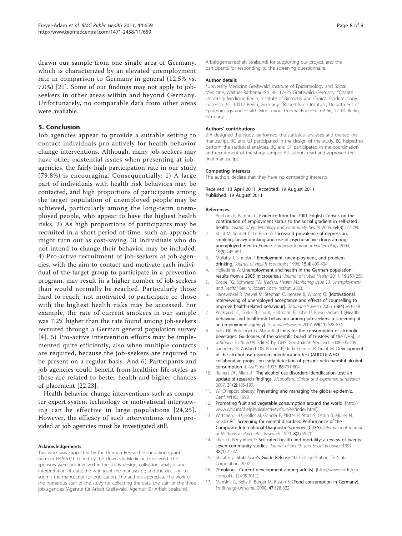<span id="page-7-0"></span>drawn our sample from one single area of Germany, which is characterized by an elevated unemployment rate in comparison to Germany in general (12.5% vs. 7.0%) [[21](#page-8-0)]. Some of our findings may not apply to jobseekers in other areas within and beyond Germany. Unfortunately, no comparable data from other areas were available.

### 5. Conclusion

Job agencies appear to provide a suitable setting to contact individuals pro-actively for health behavior change interventions. Although, many job-seekers may have other existential issues when presenting at jobagencies, the fairly high participation rate in our study (79.8%) is encouraging. Consequentially: 1) A large part of individuals with health risk behaviors may be contacted, and high proportions of participants among the target population of unemployed people may be achieved, particularly among the long-term unemployed people, who appear to have the highest health risks. 2) As high proportions of participants may be recruited in a short period of time, such an approach might turn out as cost-saving. 3) Individuals who do not intend to change their behavior may be included. 4) Pro-active recruitment of job-seekers at job-agencies, with the aim to contact and motivate each individual of the target group to participate in a prevention program, may result in a higher number of job-seekers than would normally be reached. Particularly those hard to reach, not motivated to participate or those with the highest health risks may be accessed. For example, the rate of current smokers in our sample was 7.2% higher than the rate found among job-seekers recruited through a German general population survey [4]. 5) Pro-active intervention efforts may be implemented quite efficiently, also when multiple contacts are required, because the job-seekers are required to be present on a regular basis. And 6) Participants and job agencies could benefit from healthier life-styles as these are related to better health and higher chances of placement [[22,23\]](#page-8-0).

Health behavior change interventions such as computer expert system technology or motivational interviewing can be effective in large populations [[24](#page-8-0),[25\]](#page-8-0). However, the efficacy of such interventions when provided at job agencies must be investigated still.

#### Acknowledgements

This work was supported by the German Research Foundation (grant number FR2661/1-1) and by the University Medicine Greifswald. The sponsors were not involved in the study design; collection, analysis and interpretation of data; the writing of the manuscript; and the decision to submit the manuscript for publication. The authors appreciate the work of the numerous staff of the study for collecting the data, the staff of the three job agencies (Agentur für Arbeit Greifswald, Agentur für Arbeit Stralsund,

Arbeitsgemeinschaft Stralsund) for supporting our project, and the participants for responding to the screening questionnaire.

#### Author details

<sup>1</sup>University Medicine Greifswald, Institute of Epidemiology and Social Medicine, Walther-Rathenau-Str. 48, 17475 Greifswald, Germany. <sup>2</sup>Charité University Medicine Berlin, Institute of Biometry and Clinical Epidemiology, Luisenstr. 65, 10117 Berlin, Germany. <sup>3</sup>Robert Koch Institute, Department of Epidemiology and Health Monitoring, General-Pape-Str. 62-66, 12101 Berlin, Germany.

#### Authors' contributions

JFA designed the study, performed the statistical analyses and drafted the manuscript. BG and UJ participated in the design of the study. BG helped to perform the statistical analyses. BG and ST participated in the coordination and recruitment of the study sample. All authors read and approved the final manuscript.

#### Competing interests

The authors declare that they have no competing interests.

Received: 13 April 2011 Accepted: 19 August 2011 Published: 19 August 2011

#### References

- 1. Popham F, Bambra C: [Evidence from the 2001 English Census on the](http://www.ncbi.nlm.nih.gov/pubmed/19692722?dopt=Abstract) [contribution of employment status to the social gradient in self-rated](http://www.ncbi.nlm.nih.gov/pubmed/19692722?dopt=Abstract) [health.](http://www.ncbi.nlm.nih.gov/pubmed/19692722?dopt=Abstract) Journal of epidemiology and community health 2009, 64(3):277-280.
- 2. Khlat M, Sermet C, Le Pape A: [Increased prevalence of depression,](http://www.ncbi.nlm.nih.gov/pubmed/15233317?dopt=Abstract) [smoking, heavy drinking and use of psycho-active drugs among](http://www.ncbi.nlm.nih.gov/pubmed/15233317?dopt=Abstract) [unemployed men in France.](http://www.ncbi.nlm.nih.gov/pubmed/15233317?dopt=Abstract) European Journal of Epidemiology 2004, 19(5):445-451.
- 3. Mullahy J, Sindelar J: [Employment, unemployment, and problem](http://www.ncbi.nlm.nih.gov/pubmed/10164037?dopt=Abstract) [drinking.](http://www.ncbi.nlm.nih.gov/pubmed/10164037?dopt=Abstract) Journal of Health Economics 1996, 15(4):409-434.
- 4. Hollederer A: Unemployment and health in the German population: results from a 2005 microcensus. Journal of Public Health 2011, 19:257-268.
- 5. Grobe TG, Schwartz FW: [Federal Health Monitoring Issue 13. Unemployment and Health] Berlin: Robert Koch-Institut: 2003.
- 6. Hanewinkel R, Wewel M, Stephan C, Isensee B, Wiborg G: [\[Motivational](http://www.ncbi.nlm.nih.gov/pubmed/16705560?dopt=Abstract) [interviewing of unemployed acceptance and effects of counselling to](http://www.ncbi.nlm.nih.gov/pubmed/16705560?dopt=Abstract) [improve health-related behaviour\].](http://www.ncbi.nlm.nih.gov/pubmed/16705560?dopt=Abstract) Gesundheitswesen 2006, 68(4):240-248.
- 7. Pockrandt C, Coder B, Lau K, Hartmann B, John U, Freyer-Adam J: [\[Health](http://www.ncbi.nlm.nih.gov/pubmed/18080935?dopt=Abstract) [behaviour and health-risk behaviour among job-seekers: a screening at](http://www.ncbi.nlm.nih.gov/pubmed/18080935?dopt=Abstract) [an employment agency\].](http://www.ncbi.nlm.nih.gov/pubmed/18080935?dopt=Abstract) Gesundheitswesen 2007, 69(11):628-634.
- 8. Seitz HK, Bühringer G, Mann K: [Limits for the consumption of alcoholic beverages: Guidelines of the scientific board of trustees of the DHS]. In Jahrbuch Sucht 2008. Edited by: DHS. Geesthacht: Neuland; 2008:205-209.
- 9. Saunders JB, Aasland OG, Babor TF, de la Fuente JR, Grant M: [Development](http://www.ncbi.nlm.nih.gov/pubmed/8329970?dopt=Abstract) [of the alcohol use disorders identification test \(AUDIT\): WHO](http://www.ncbi.nlm.nih.gov/pubmed/8329970?dopt=Abstract) [collaborative project on early detection of persons with harmful alcohol](http://www.ncbi.nlm.nih.gov/pubmed/8329970?dopt=Abstract) [consumption-II.](http://www.ncbi.nlm.nih.gov/pubmed/8329970?dopt=Abstract) Addiction 1993, 88:791-804.
- 10. Reinert DF, Allen JP: [The alcohol use disorders identification test: an](http://www.ncbi.nlm.nih.gov/pubmed/17250609?dopt=Abstract) [update of research findings.](http://www.ncbi.nlm.nih.gov/pubmed/17250609?dopt=Abstract) Alcoholism, clinical and experimental research 2007, 31(2):185-199.
- 11. WHO report obesity: Preventing and managing the global epidemic. Genf: WHO; 1998.
- 12. Promoting fruit and vegetable consumption around the world. [\[http://](http://www.who.int/dietphysicalactivity/fruit/en/index.html) [www.who.int/dietphysicalactivity/fruit/en/index.html\]](http://www.who.int/dietphysicalactivity/fruit/en/index.html).
- 13. Wittchen H-U, Höfler M, Gander F, Pfister H, Storz S, Üstün B, Müller N, Kessler RC: Screening for mental disorders: Performance of the Composite International Diagnostic-Screener (CID-S). International Journal of Methods in Psychiatric Research 1999, 8(2):59-70.
- 14. Idler EL, Benyamini Y: [Self-rated health and mortality: a review of twenty](http://www.ncbi.nlm.nih.gov/pubmed/9097506?dopt=Abstract)[seven community studies.](http://www.ncbi.nlm.nih.gov/pubmed/9097506?dopt=Abstract) Journal of Health and Social Behavior 1997, 38(1):21-37.
- 15. StataCorp: Stata User's Guide Release 10. College Station TX: Stata Corporation; 2007.
- 16. [Smoking Current development among adults]. [\[http://www.rki.de/gbe](http://www.rki.de/gbe-kompakt)[kompakt](http://www.rki.de/gbe-kompakt)], (24.05.2011).
- 17. Mensink G, Beitz R, Burger M, Bisson S: [\[Food consumption in Germany\].](http://www.ncbi.nlm.nih.gov/pubmed/21855583?dopt=Abstract) Ernährungs-Umschau 2000, 47:328-332.